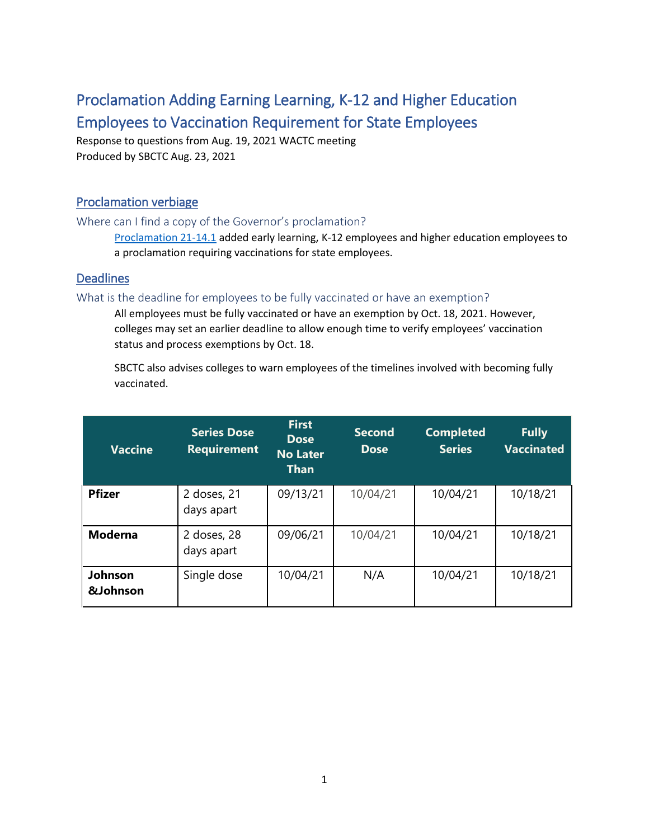# Proclamation Adding Earning Learning, K-12 and Higher Education Employees to Vaccination Requirement for State Employees

Response to questions from Aug. 19, 2021 WACTC meeting Produced by SBCTC Aug. 23, 2021

# Proclamation verbiage

## Where can I find a copy of the Governor's proclamation?

[Proclamation 21-14.1](https://www.governor.wa.gov/sites/default/files/proclamations/21-14.1%20-%20COVID-19%20Vax%20Washington%20Amendment.pdf?utm_medium=email&utm_source=govdelivery) added early learning, K-12 employees and higher education employees to a proclamation requiring vaccinations for state employees.

# **Deadlines**

## What is the deadline for employees to be fully vaccinated or have an exemption?

All employees must be fully vaccinated or have an exemption by Oct. 18, 2021. However, colleges may set an earlier deadline to allow enough time to verify employees' vaccination status and process exemptions by Oct. 18.

SBCTC also advises colleges to warn employees of the timelines involved with becoming fully vaccinated.

| <b>Vaccine</b>                        | <b>Series Dose</b><br><b>Requirement</b> | <b>First</b><br><b>Dose</b><br><b>No Later</b><br><b>Than</b> | <b>Second</b><br><b>Dose</b> | <b>Completed</b><br><b>Series</b> | <b>Fully</b><br><b>Vaccinated</b> |
|---------------------------------------|------------------------------------------|---------------------------------------------------------------|------------------------------|-----------------------------------|-----------------------------------|
| <b>Pfizer</b>                         | 2 doses, 21<br>days apart                | 09/13/21                                                      | 10/04/21                     | 10/04/21                          | 10/18/21                          |
| <b>Moderna</b>                        | 2 doses, 28<br>days apart                | 09/06/21                                                      | 10/04/21                     | 10/04/21                          | 10/18/21                          |
| <b>Johnson</b><br><b>&amp;Johnson</b> | Single dose                              | 10/04/21                                                      | N/A                          | 10/04/21                          | 10/18/21                          |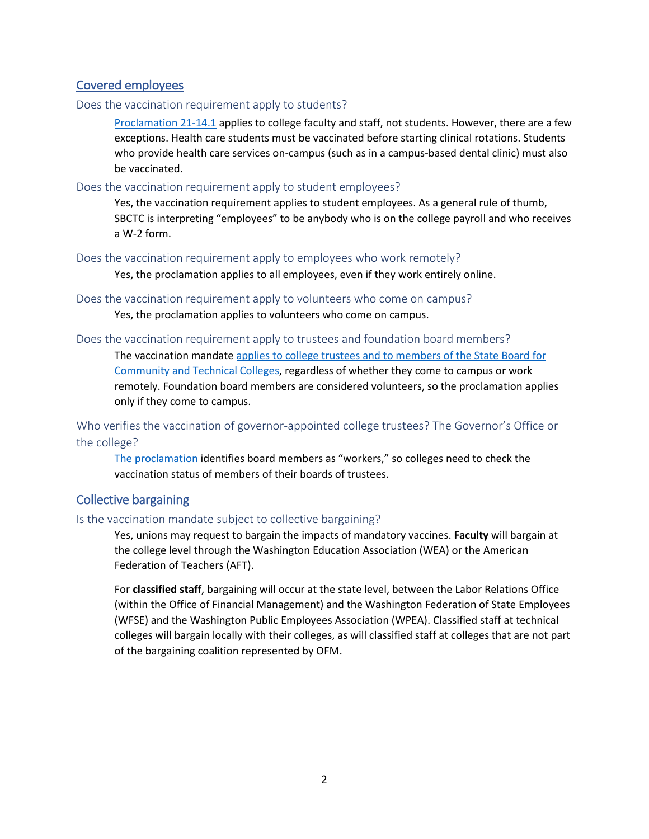## Covered employees

#### Does the vaccination requirement apply to students?

[Proclamation 21-14.1](https://www.governor.wa.gov/sites/default/files/proclamations/21-14.1%20-%20COVID-19%20Vax%20Washington%20Amendment.pdf?utm_medium=email&utm_source=govdelivery) applies to college faculty and staff, not students. However, there are a few exceptions. Health care students must be vaccinated before starting clinical rotations. Students who provide health care services on-campus (such as in a campus-based dental clinic) must also be vaccinated.

#### Does the vaccination requirement apply to student employees?

Yes, the vaccination requirement applies to student employees. As a general rule of thumb, SBCTC is interpreting "employees" to be anybody who is on the college payroll and who receives a W-2 form.

Does the vaccination requirement apply to employees who work remotely?

Yes, the proclamation applies to all employees, even if they work entirely online.

Does the vaccination requirement apply to volunteers who come on campus?

Yes, the proclamation applies to volunteers who come on campus.

#### Does the vaccination requirement apply to trustees and foundation board members?

The vaccination mandate applies to college trustees and to members of the State Board for [Community and Technical Colleges,](https://www.governor.wa.gov/sites/default/files/proclamations/21-14.1%20-%20COVID-19%20Vax%20Washington%20Amendment.pdf?utm_medium=email&utm_source=govdelivery#page=8) regardless of whether they come to campus or work remotely. Foundation board members are considered volunteers, so the proclamation applies only if they come to campus.

Who verifies the vaccination of governor-appointed college trustees? The Governor's Office or the college?

[The proclamation](https://www.governor.wa.gov/sites/default/files/proclamations/21-14.1%20-%20COVID-19%20Vax%20Washington%20Amendment.pdf?utm_medium=email&utm_source=govdelivery#page=8) identifies board members as "workers," so colleges need to check the vaccination status of members of their boards of trustees.

## Collective bargaining

#### Is the vaccination mandate subject to collective bargaining?

Yes, unions may request to bargain the impacts of mandatory vaccines. **Faculty** will bargain at the college level through the Washington Education Association (WEA) or the American Federation of Teachers (AFT).

For **classified staff**, bargaining will occur at the state level, between the Labor Relations Office (within the Office of Financial Management) and the Washington Federation of State Employees (WFSE) and the Washington Public Employees Association (WPEA). Classified staff at technical colleges will bargain locally with their colleges, as will classified staff at colleges that are not part of the bargaining coalition represented by OFM.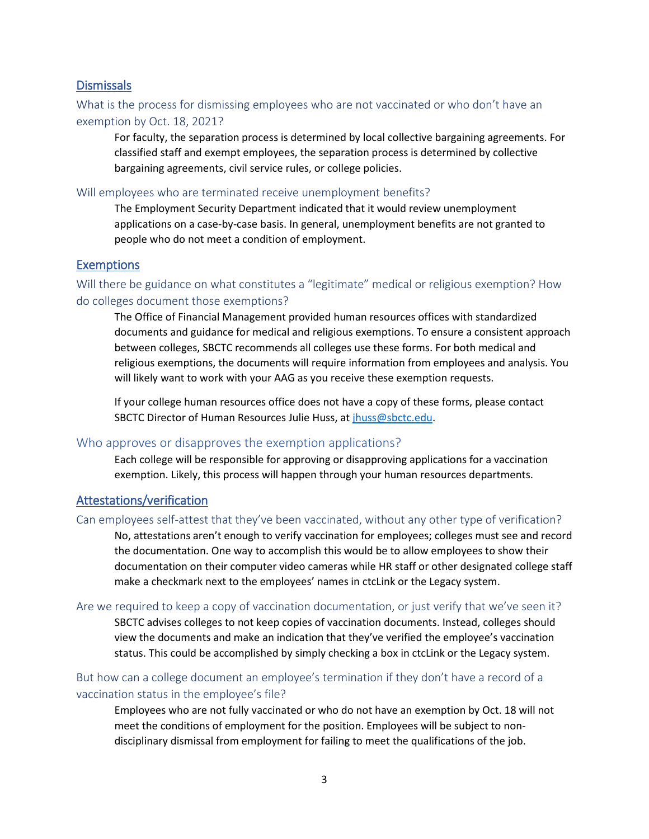## **Dismissals**

# What is the process for dismissing employees who are not vaccinated or who don't have an exemption by Oct. 18, 2021?

For faculty, the separation process is determined by local collective bargaining agreements. For classified staff and exempt employees, the separation process is determined by collective bargaining agreements, civil service rules, or college policies.

#### Will employees who are terminated receive unemployment benefits?

The Employment Security Department indicated that it would review unemployment applications on a case-by-case basis. In general, unemployment benefits are not granted to people who do not meet a condition of employment.

#### **Exemptions**

# Will there be guidance on what constitutes a "legitimate" medical or religious exemption? How do colleges document those exemptions?

The Office of Financial Management provided human resources offices with standardized documents and guidance for medical and religious exemptions. To ensure a consistent approach between colleges, SBCTC recommends all colleges use these forms. For both medical and religious exemptions, the documents will require information from employees and analysis. You will likely want to work with your AAG as you receive these exemption requests.

If your college human resources office does not have a copy of these forms, please contact SBCTC Director of Human Resources Julie Huss, a[t jhuss@sbctc.edu.](mailto:jhuss@sbctc.edu)

#### Who approves or disapproves the exemption applications?

Each college will be responsible for approving or disapproving applications for a vaccination exemption. Likely, this process will happen through your human resources departments.

#### Attestations/verification

#### Can employees self-attest that they've been vaccinated, without any other type of verification?

No, attestations aren't enough to verify vaccination for employees; colleges must see and record the documentation. One way to accomplish this would be to allow employees to show their documentation on their computer video cameras while HR staff or other designated college staff make a checkmark next to the employees' names in ctcLink or the Legacy system.

#### Are we required to keep a copy of vaccination documentation, or just verify that we've seen it?

SBCTC advises colleges to not keep copies of vaccination documents. Instead, colleges should view the documents and make an indication that they've verified the employee's vaccination status. This could be accomplished by simply checking a box in ctcLink or the Legacy system.

# But how can a college document an employee's termination if they don't have a record of a vaccination status in the employee's file?

Employees who are not fully vaccinated or who do not have an exemption by Oct. 18 will not meet the conditions of employment for the position. Employees will be subject to nondisciplinary dismissal from employment for failing to meet the qualifications of the job.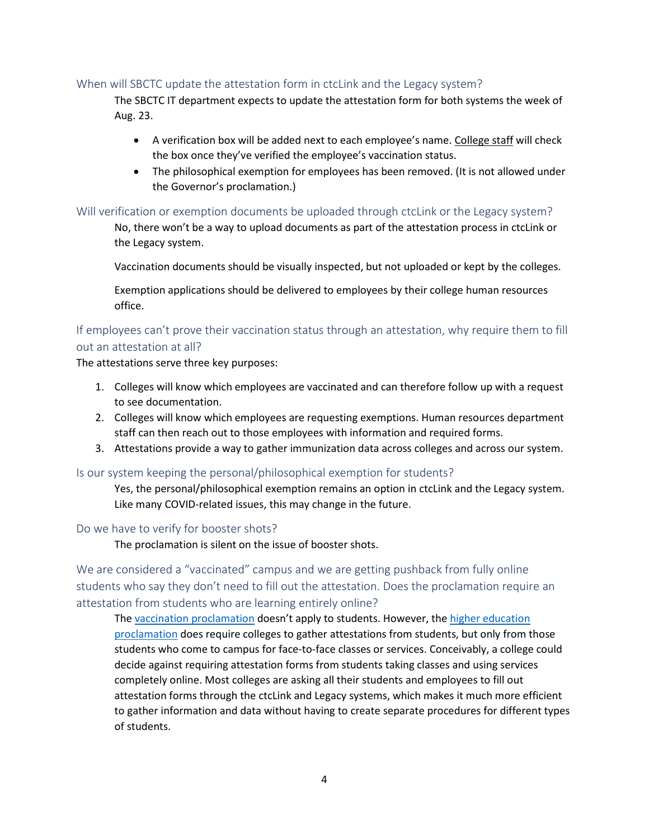## When will SBCTC update the attestation form in ctcLink and the Legacy system?

The SBCTC IT department expects to update the attestation form for both systems the week of Aug. 23.

- A verification box will be added next to each employee's name. College staff will check the box once they've verified the employee's vaccination status.
- The philosophical exemption for employees has been removed. (It is not allowed under the Governor's proclamation.)

#### Will verification or exemption documents be uploaded through ctcLink or the Legacy system?

No, there won't be a way to upload documents as part of the attestation process in ctcLink or the Legacy system.

Vaccination documents should be visually inspected, but not uploaded or kept by the colleges.

Exemption applications should be delivered to employees by their college human resources office.

# If employees can't prove their vaccination status through an attestation, why require them to fill out an attestation at all?

The attestations serve three key purposes:

- 1. Colleges will know which employees are vaccinated and can therefore follow up with a request to see documentation.
- 2. Colleges will know which employees are requesting exemptions. Human resources department staff can then reach out to those employees with information and required forms.
- 3. Attestations provide a way to gather immunization data across colleges and across our system.

#### Is our system keeping the personal/philosophical exemption for students?

Yes, the personal/philosophical exemption remains an option in ctcLink and the Legacy system. Like many COVID-related issues, this may change in the future.

#### Do we have to verify for booster shots?

The proclamation is silent on the issue of booster shots.

We are considered a "vaccinated" campus and we are getting pushback from fully online students who say they don't need to fill out the attestation. Does the proclamation require an attestation from students who are learning entirely online?

The [vaccination proclamation](https://www.governor.wa.gov/sites/default/files/proclamations/21-14.1%20-%20COVID-19%20Vax%20Washington%20Amendment.pdf?utm_medium=email&utm_source=govdelivery) doesn't apply to students. However, the higher education [proclamation](https://www.governor.wa.gov/sites/default/files/proclamations/20-12.3%20-%20HigherEd.pdf?utm_medium=email&utm_source=govdelivery) does require colleges to gather attestations from students, but only from those students who come to campus for face-to-face classes or services. Conceivably, a college could decide against requiring attestation forms from students taking classes and using services completely online. Most colleges are asking all their students and employees to fill out attestation forms through the ctcLink and Legacy systems, which makes it much more efficient to gather information and data without having to create separate procedures for different types of students.